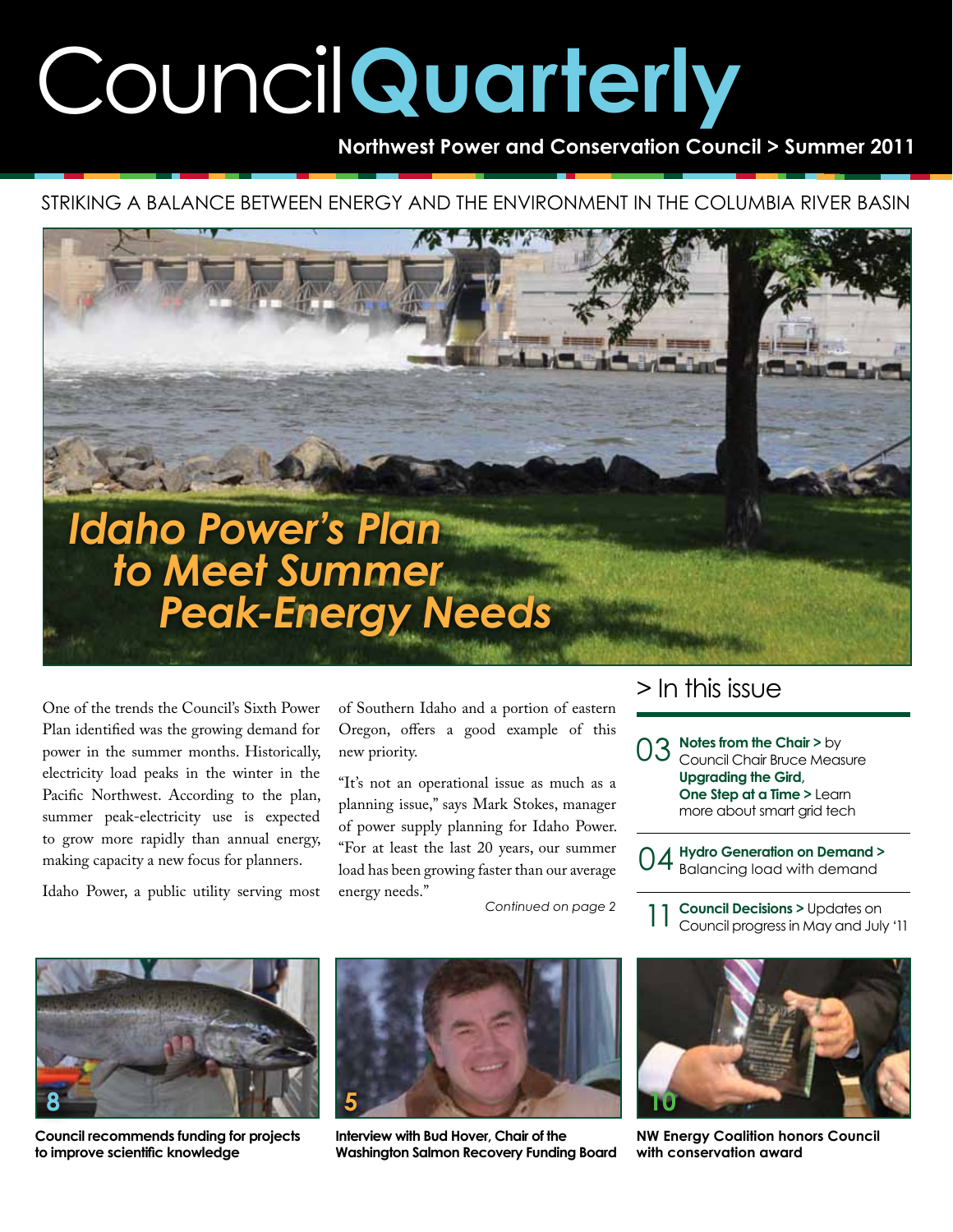# Council**Quarterly**

**Northwest Power and Conservation Council > Summer 2011**

Striking a balance between energy and the environment in the Columbia River Basin



One of the trends the Council's Sixth Power Plan identified was the growing demand for power in the summer months. Historically, electricity load peaks in the winter in the Pacific Northwest. According to the plan, summer peak-electricity use is expected to grow more rapidly than annual energy, making capacity a new focus for planners.

Idaho Power, a public utility serving most

of Southern Idaho and a portion of eastern Oregon, offers a good example of this new priority.

"It's not an operational issue as much as a planning issue," says Mark Stokes, manager of power supply planning for Idaho Power. "For at least the last 20 years, our summer load has been growing faster than our average energy needs."

*Continued on page 2*

### > In this issue

**03** Notes from the Chair > by<br>Council Chair Bruce Meas Council Chair Bruce Measure **Upgrading the Gird, One Step at a Time >** Learn more about smart grid tech

04 **Hydro Generation on Demand >** Balancing load with demand

**Council Decisions >** Updates on Council progress in May and July '11 11



**Council recommends funding for projects to improve scientific knowledge** 



**Interview with Bud Hover, Chair of the Washington Salmon Recovery Funding Board**



**NW Energy Coalition honors Council with conservation award**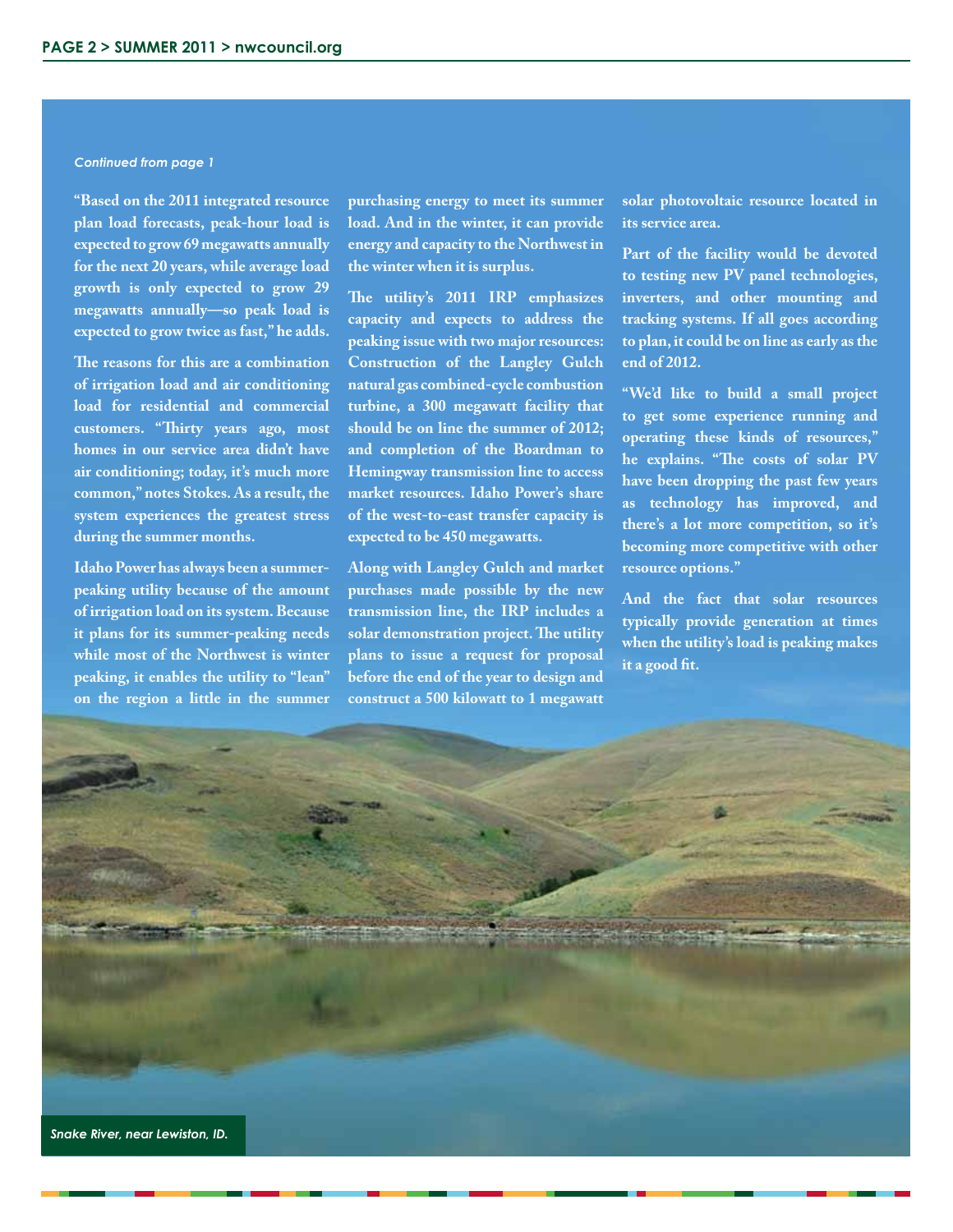#### *Continued from page 1*

**"Based on the 2011 integrated resource plan load forecasts, peak-hour load is expected to grow 69 megawatts annually for the next 20 years, while average load growth is only expected to grow 29 megawatts annually—so peak load is expected to grow twice as fast," he adds.**

**The reasons for this are a combination of irrigation load and air conditioning load for residential and commercial customers. "Thirty years ago, most homes in our service area didn't have air conditioning; today, it's much more common," notes Stokes. As a result, the system experiences the greatest stress during the summer months.**

**Idaho Power has always been a summerpeaking utility because of the amount of irrigation load on its system. Because it plans for its summer-peaking needs while most of the Northwest is winter peaking, it enables the utility to "lean" on the region a little in the summer** 

**purchasing energy to meet its summer load. And in the winter, it can provide energy and capacity to the Northwest in the winter when it is surplus.**

**The utility's 2011 IRP emphasizes capacity and expects to address the peaking issue with two major resources: Construction of the Langley Gulch natural gas combined-cycle combustion turbine, a 300 megawatt facility that should be on line the summer of 2012; and completion of the Boardman to Hemingway transmission line to access market resources. Idaho Power's share of the west-to-east transfer capacity is expected to be 450 megawatts.**

**Along with Langley Gulch and market purchases made possible by the new transmission line, the IRP includes a solar demonstration project. The utility plans to issue a request for proposal before the end of the year to design and construct a 500 kilowatt to 1 megawatt**  **solar photovoltaic resource located in its service area.**

**Part of the facility would be devoted to testing new PV panel technologies, inverters, and other mounting and tracking systems. If all goes according to plan, it could be on line as early as the end of 2012.**

**"We'd like to build a small project to get some experience running and operating these kinds of resources," he explains. "The costs of solar PV have been dropping the past few years as technology has improved, and there's a lot more competition, so it's becoming more competitive with other resource options."**

**And the fact that solar resources typically provide generation at times when the utility's load is peaking makes it a good fit.**

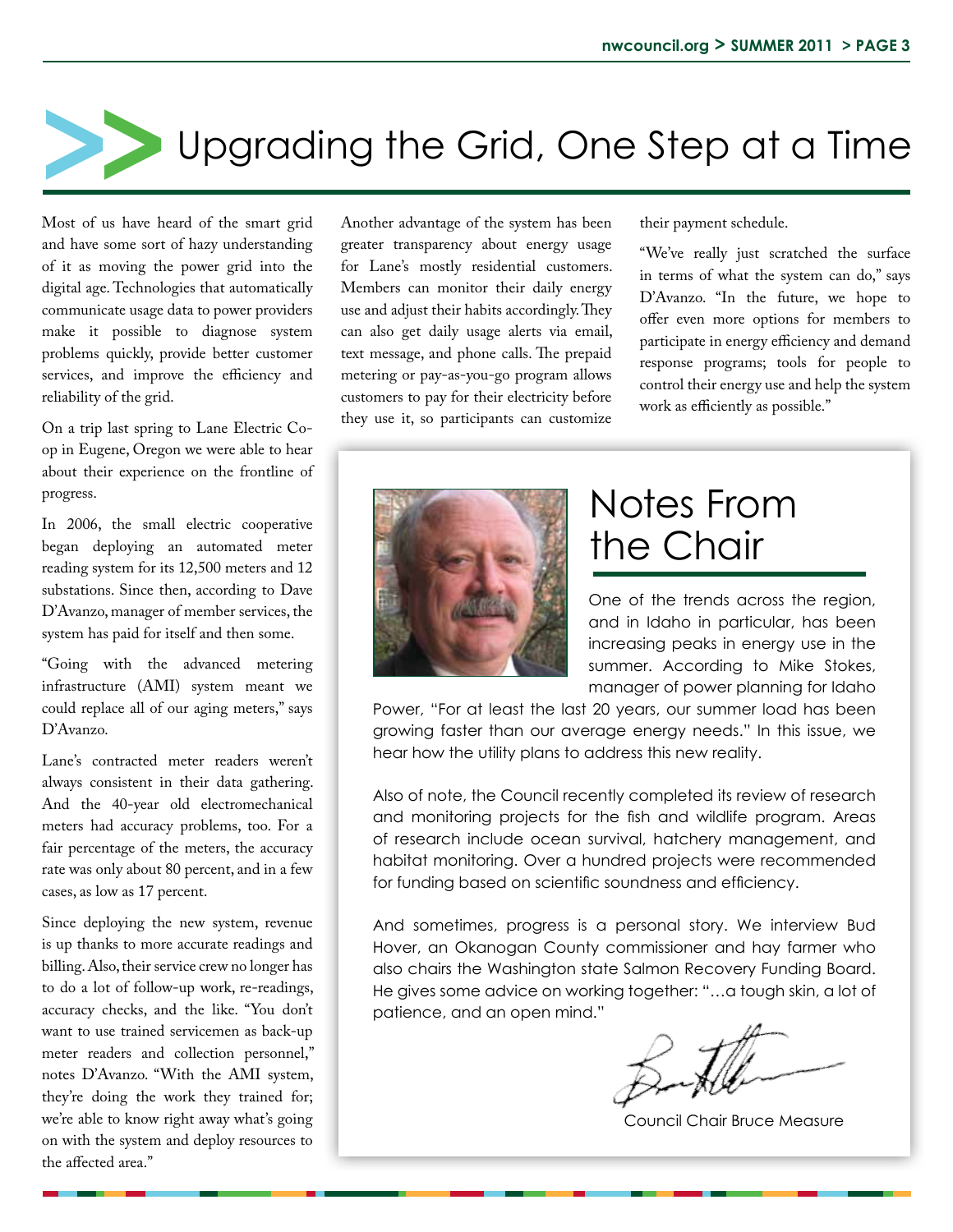

Most of us have heard of the smart grid and have some sort of hazy understanding of it as moving the power grid into the digital age. Technologies that automatically communicate usage data to power providers make it possible to diagnose system problems quickly, provide better customer services, and improve the efficiency and reliability of the grid.

On a trip last spring to Lane Electric Coop in Eugene, Oregon we were able to hear about their experience on the frontline of progress.

In 2006, the small electric cooperative began deploying an automated meter reading system for its 12,500 meters and 12 substations. Since then, according to Dave D'Avanzo, manager of member services, the system has paid for itself and then some.

"Going with the advanced metering infrastructure (AMI) system meant we could replace all of our aging meters," says D'Avanzo.

Lane's contracted meter readers weren't always consistent in their data gathering. And the 40-year old electromechanical meters had accuracy problems, too. For a fair percentage of the meters, the accuracy rate was only about 80 percent, and in a few cases, as low as 17 percent.

Since deploying the new system, revenue is up thanks to more accurate readings and billing. Also, their service crew no longer has to do a lot of follow-up work, re-readings, accuracy checks, and the like. "You don't want to use trained servicemen as back-up meter readers and collection personnel," notes D'Avanzo. "With the AMI system, they're doing the work they trained for; we're able to know right away what's going on with the system and deploy resources to the affected area."

Another advantage of the system has been greater transparency about energy usage for Lane's mostly residential customers. Members can monitor their daily energy use and adjust their habits accordingly. They can also get daily usage alerts via email, text message, and phone calls. The prepaid metering or pay-as-you-go program allows customers to pay for their electricity before they use it, so participants can customize

their payment schedule.

"We've really just scratched the surface in terms of what the system can do," says D'Avanzo. "In the future, we hope to offer even more options for members to participate in energy efficiency and demand response programs; tools for people to control their energy use and help the system work as efficiently as possible."



## Notes From the Chair

One of the trends across the region, and in Idaho in particular, has been increasing peaks in energy use in the summer. According to Mike Stokes, manager of power planning for Idaho

Power, "For at least the last 20 years, our summer load has been growing faster than our average energy needs." In this issue, we hear how the utility plans to address this new reality.

Also of note, the Council recently completed its review of research and monitoring projects for the fish and wildlife program. Areas of research include ocean survival, hatchery management, and habitat monitoring. Over a hundred projects were recommended for funding based on scientific soundness and efficiency.

And sometimes, progress is a personal story. We interview Bud Hover, an Okanogan County commissioner and hay farmer who also chairs the Washington state Salmon Recovery Funding Board. He gives some advice on working together: "…a tough skin, a lot of patience, and an open mind."

Council Chair Bruce Measure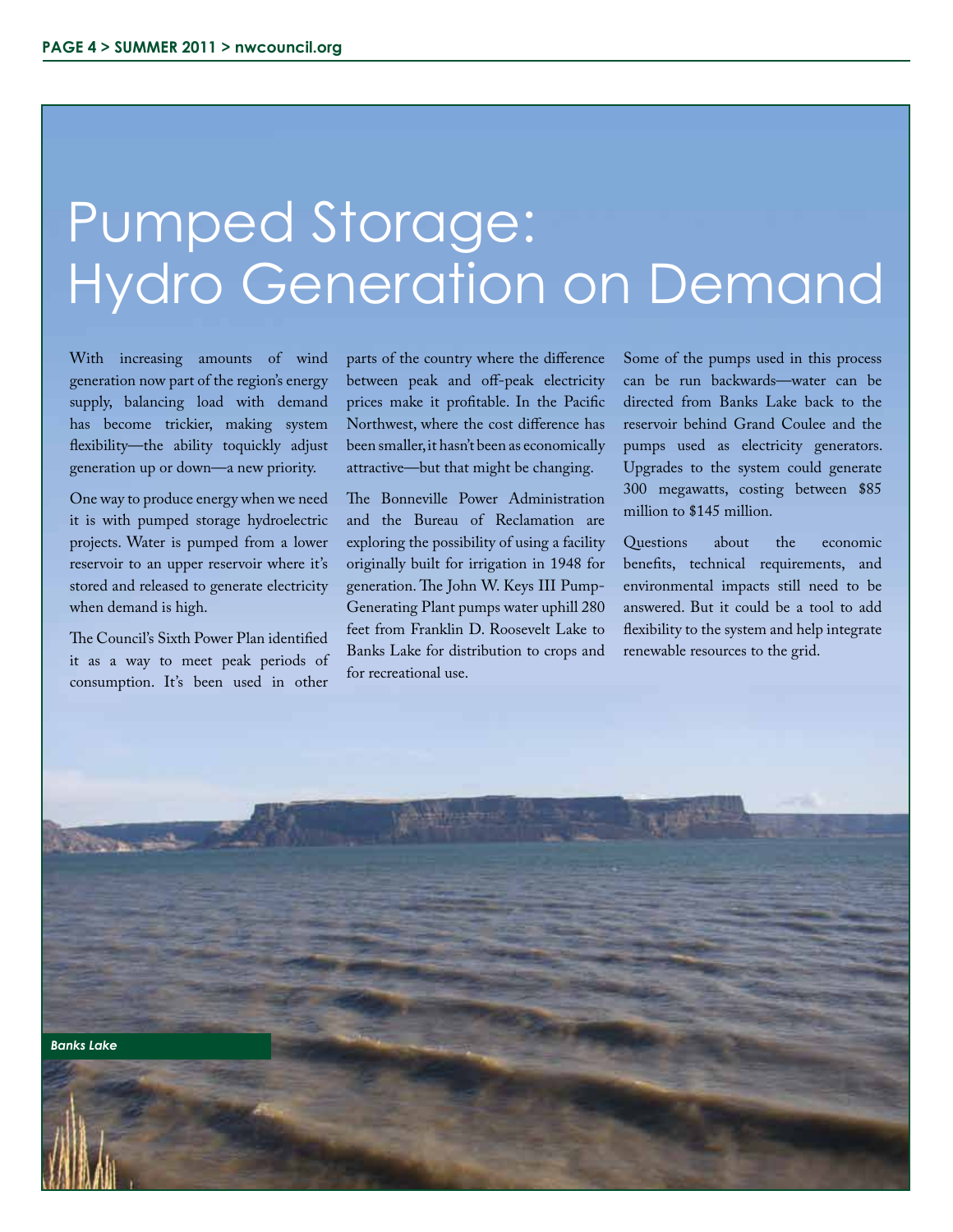# Hydro Generation on Demand Pumped Storage:

With increasing amounts of wind generation now part of the region's energy supply, balancing load with demand has become trickier, making system flexibility—the ability toquickly adjust generation up or down—a new priority.

One way to produce energy when we need it is with pumped storage hydroelectric projects. Water is pumped from a lower reservoir to an upper reservoir where it's stored and released to generate electricity when demand is high.

The Council's Sixth Power Plan identified it as a way to meet peak periods of consumption. It's been used in other

parts of the country where the difference between peak and off-peak electricity prices make it profitable. In the Pacific Northwest, where the cost difference has been smaller, it hasn't been as economically attractive—but that might be changing.

The Bonneville Power Administration and the Bureau of Reclamation are exploring the possibility of using a facility originally built for irrigation in 1948 for generation. The John W. Keys III Pump-Generating Plant pumps water uphill 280 feet from Franklin D. Roosevelt Lake to Banks Lake for distribution to crops and for recreational use.

Some of the pumps used in this process can be run backwards—water can be directed from Banks Lake back to the reservoir behind Grand Coulee and the pumps used as electricity generators. Upgrades to the system could generate 300 megawatts, costing between \$85 million to \$145 million.

Questions about the economic benefits, technical requirements, and environmental impacts still need to be answered. But it could be a tool to add flexibility to the system and help integrate renewable resources to the grid.

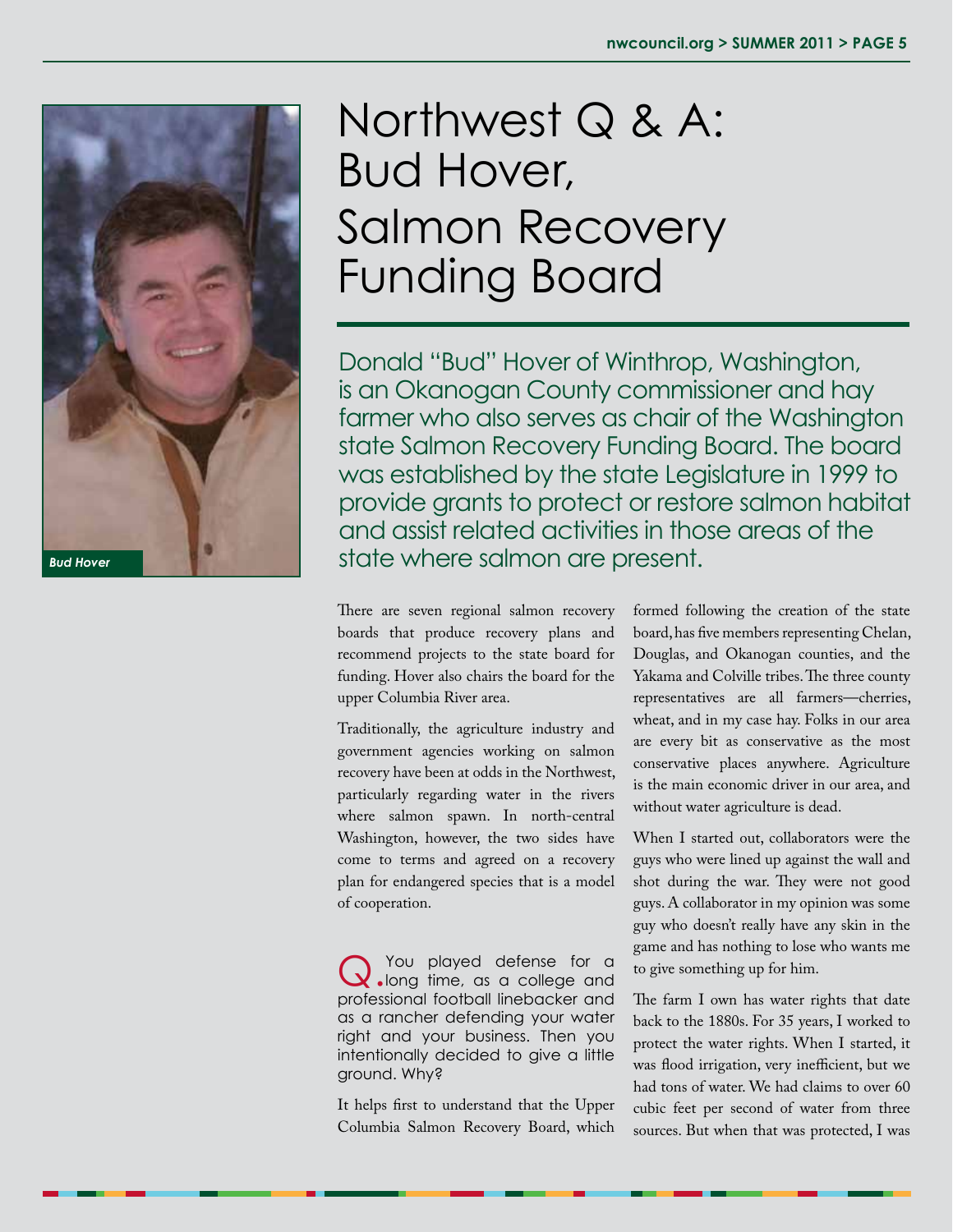

# Northwest Q & A: Bud Hover, Salmon Recovery Funding Board

Donald "Bud" Hover of Winthrop, Washington, is an Okanogan County commissioner and hay farmer who also serves as chair of the Washington state Salmon Recovery Funding Board. The board was established by the state Legislature in 1999 to provide grants to protect or restore salmon habitat and assist related activities in those areas of the **Bud Hover State where salmon are present.** 

> There are seven regional salmon recovery boards that produce recovery plans and recommend projects to the state board for funding. Hover also chairs the board for the upper Columbia River area.

Traditionally, the agriculture industry and government agencies working on salmon recovery have been at odds in the Northwest, particularly regarding water in the rivers where salmon spawn. In north-central Washington, however, the two sides have come to terms and agreed on a recovery plan for endangered species that is a model of cooperation.

Q.You played defense for a long time, as a college and professional football linebacker and as a rancher defending your water right and your business. Then you intentionally decided to give a little ground. Why?

It helps first to understand that the Upper Columbia Salmon Recovery Board, which formed following the creation of the state board, has five members representing Chelan, Douglas, and Okanogan counties, and the Yakama and Colville tribes. The three county representatives are all farmers—cherries, wheat, and in my case hay. Folks in our area are every bit as conservative as the most conservative places anywhere. Agriculture is the main economic driver in our area, and without water agriculture is dead.

When I started out, collaborators were the guys who were lined up against the wall and shot during the war. They were not good guys. A collaborator in my opinion was some guy who doesn't really have any skin in the game and has nothing to lose who wants me to give something up for him.

The farm I own has water rights that date back to the 1880s. For 35 years, I worked to protect the water rights. When I started, it was flood irrigation, very inefficient, but we had tons of water. We had claims to over 60 cubic feet per second of water from three sources. But when that was protected, I was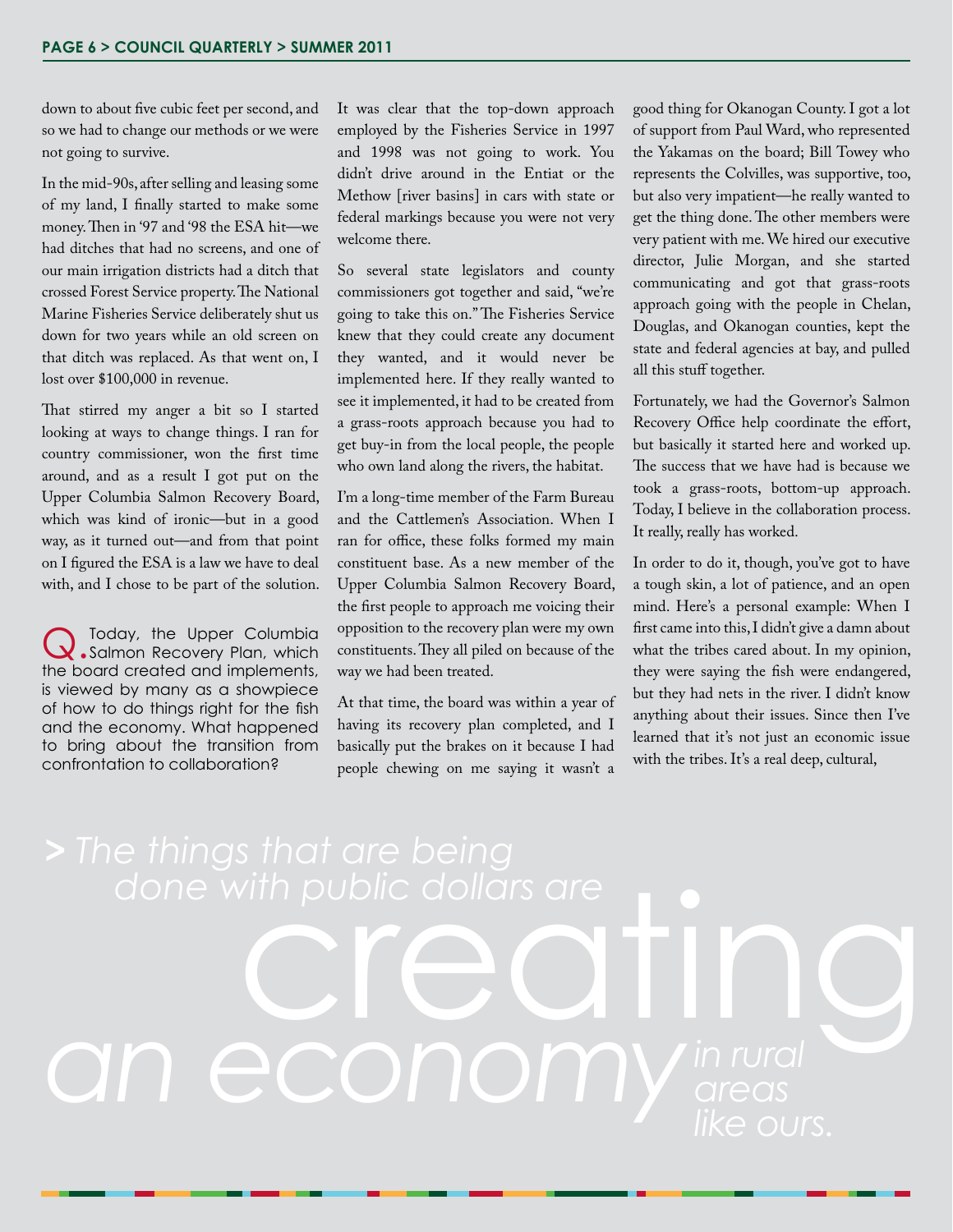down to about five cubic feet per second, and so we had to change our methods or we were not going to survive.

In the mid-90s, after selling and leasing some of my land, I finally started to make some money. Then in '97 and '98 the ESA hit—we had ditches that had no screens, and one of our main irrigation districts had a ditch that crossed Forest Service property. The National Marine Fisheries Service deliberately shut us down for two years while an old screen on that ditch was replaced. As that went on, I lost over \$100,000 in revenue.

That stirred my anger a bit so I started looking at ways to change things. I ran for country commissioner, won the first time around, and as a result I got put on the Upper Columbia Salmon Recovery Board, which was kind of ironic—but in a good way, as it turned out—and from that point on I figured the ESA is a law we have to deal with, and I chose to be part of the solution.

Q.Today, the Upper Columbia Salmon Recovery Plan, which the board created and implements, is viewed by many as a showpiece of how to do things right for the fish and the economy. What happened to bring about the transition from confrontation to collaboration?

It was clear that the top-down approach employed by the Fisheries Service in 1997 and 1998 was not going to work. You didn't drive around in the Entiat or the Methow [river basins] in cars with state or federal markings because you were not very welcome there.

So several state legislators and county commissioners got together and said, "we're going to take this on." The Fisheries Service knew that they could create any document they wanted, and it would never be implemented here. If they really wanted to see it implemented, it had to be created from a grass-roots approach because you had to get buy-in from the local people, the people who own land along the rivers, the habitat.

I'm a long-time member of the Farm Bureau and the Cattlemen's Association. When I ran for office, these folks formed my main constituent base. As a new member of the Upper Columbia Salmon Recovery Board, the first people to approach me voicing their opposition to the recovery plan were my own constituents. They all piled on because of the way we had been treated.

At that time, the board was within a year of having its recovery plan completed, and I basically put the brakes on it because I had people chewing on me saying it wasn't a good thing for Okanogan County. I got a lot of support from Paul Ward, who represented the Yakamas on the board; Bill Towey who represents the Colvilles, was supportive, too, but also very impatient—he really wanted to get the thing done. The other members were very patient with me. We hired our executive director, Julie Morgan, and she started communicating and got that grass-roots approach going with the people in Chelan, Douglas, and Okanogan counties, kept the state and federal agencies at bay, and pulled all this stuff together.

Fortunately, we had the Governor's Salmon Recovery Office help coordinate the effort, but basically it started here and worked up. The success that we have had is because we took a grass-roots, bottom-up approach. Today, I believe in the collaboration process. It really, really has worked.

In order to do it, though, you've got to have a tough skin, a lot of patience, and an open mind. Here's a personal example: When I first came into this, I didn't give a damn about what the tribes cared about. In my opinion, they were saying the fish were endangered, but they had nets in the river. I didn't know anything about their issues. Since then I've learned that it's not just an economic issue with the tribes. It's a real deep, cultural,

done with public dollars are<br> **CICCTING** an economy *in rural*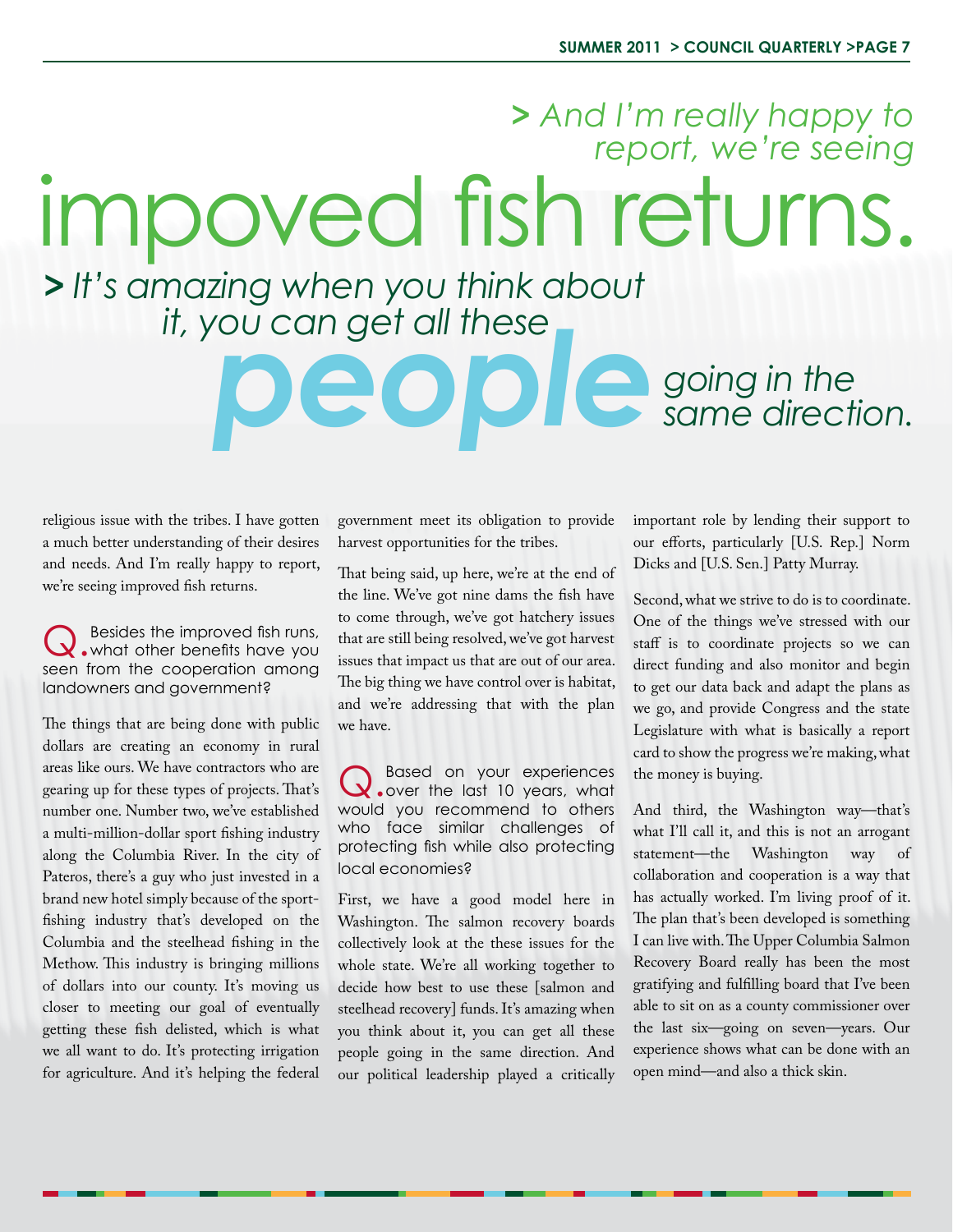# impoved fish returns. *> And I'm really happy to report, we're seeing > It's amazing when you think about*

# *it, you can get all these going in the same directive same direction.*

religious issue with the tribes. I have gotten a much better understanding of their desires and needs. And I'm really happy to report, we're seeing improved fish returns.

Q.Besides the improved fish runs, what other benefits have you seen from the cooperation among landowners and government?

The things that are being done with public dollars are creating an economy in rural areas like ours. We have contractors who are gearing up for these types of projects. That's number one. Number two, we've established a multi-million-dollar sport fishing industry along the Columbia River. In the city of Pateros, there's a guy who just invested in a brand new hotel simply because of the sportfishing industry that's developed on the Columbia and the steelhead fishing in the Methow. This industry is bringing millions of dollars into our county. It's moving us closer to meeting our goal of eventually getting these fish delisted, which is what we all want to do. It's protecting irrigation for agriculture. And it's helping the federal

government meet its obligation to provide harvest opportunities for the tribes.

That being said, up here, we're at the end of the line. We've got nine dams the fish have to come through, we've got hatchery issues that are still being resolved, we've got harvest issues that impact us that are out of our area. The big thing we have control over is habitat, and we're addressing that with the plan we have.

Q. Based on your experiences<br>
Q. over the last 10 years, what would you recommend to others who face similar challenges of protecting fish while also protecting local economies?

First, we have a good model here in Washington. The salmon recovery boards collectively look at the these issues for the whole state. We're all working together to decide how best to use these [salmon and steelhead recovery] funds. It's amazing when you think about it, you can get all these people going in the same direction. And our political leadership played a critically important role by lending their support to our efforts, particularly [U.S. Rep.] Norm Dicks and [U.S. Sen.] Patty Murray.

Second, what we strive to do is to coordinate. One of the things we've stressed with our staff is to coordinate projects so we can direct funding and also monitor and begin to get our data back and adapt the plans as we go, and provide Congress and the state Legislature with what is basically a report card to show the progress we're making, what the money is buying.

And third, the Washington way—that's what I'll call it, and this is not an arrogant statement—the Washington way of collaboration and cooperation is a way that has actually worked. I'm living proof of it. The plan that's been developed is something I can live with. The Upper Columbia Salmon Recovery Board really has been the most gratifying and fulfilling board that I've been able to sit on as a county commissioner over the last six—going on seven—years. Our experience shows what can be done with an open mind—and also a thick skin.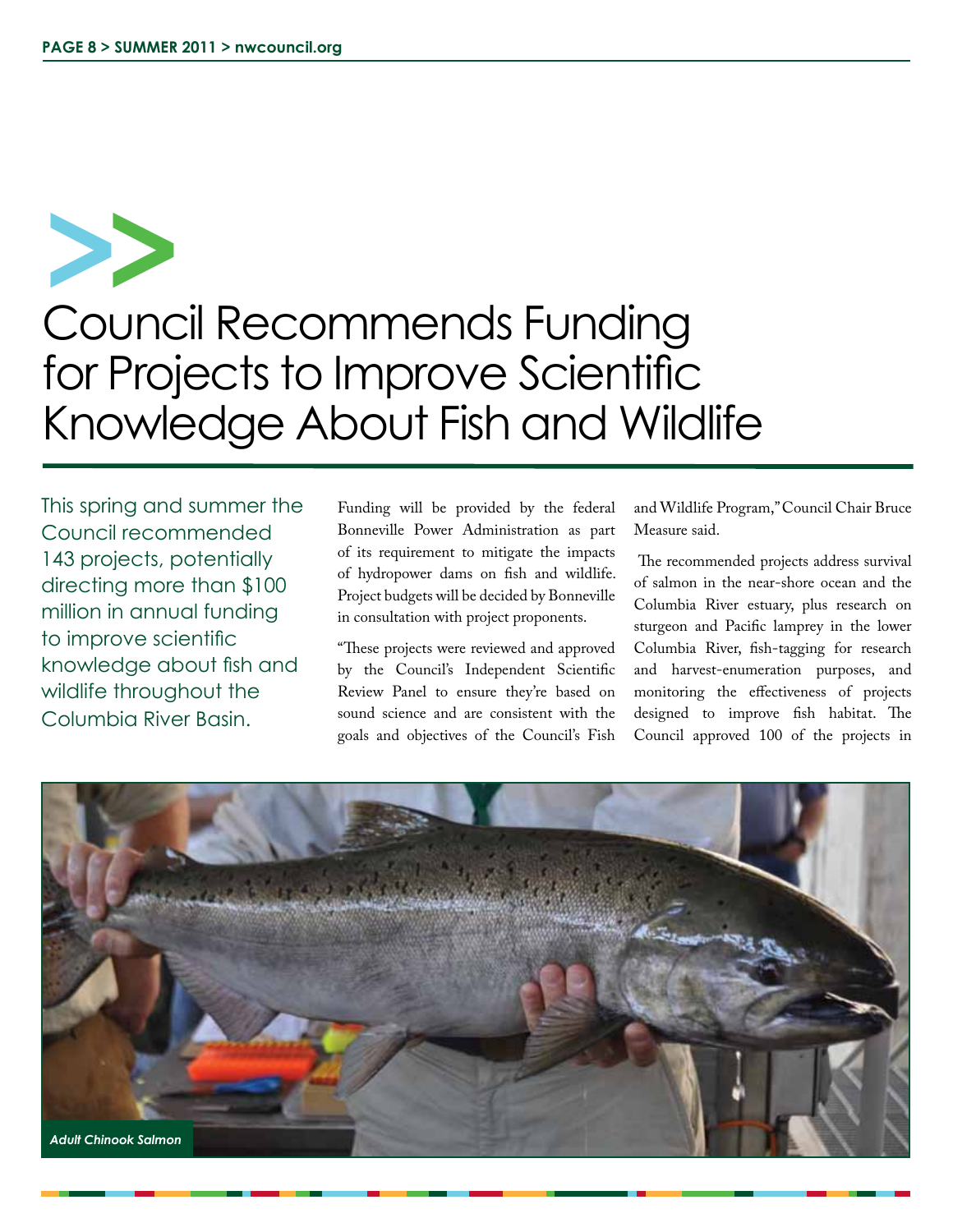Council Recommends Funding for Projects to Improve Scientific Knowledge About Fish and Wildlife **>>**

This spring and summer the Council recommended 143 projects, potentially directing more than \$100 million in annual funding to improve scientific knowledge about fish and wildlife throughout the Columbia River Basin.

Funding will be provided by the federal Bonneville Power Administration as part of its requirement to mitigate the impacts of hydropower dams on fish and wildlife. Project budgets will be decided by Bonneville in consultation with project proponents.

"These projects were reviewed and approved by the Council's Independent Scientific Review Panel to ensure they're based on sound science and are consistent with the goals and objectives of the Council's Fish

and Wildlife Program," Council Chair Bruce Measure said.

 The recommended projects address survival of salmon in the near-shore ocean and the Columbia River estuary, plus research on sturgeon and Pacific lamprey in the lower Columbia River, fish-tagging for research and harvest-enumeration purposes, and monitoring the effectiveness of projects designed to improve fish habitat. The Council approved 100 of the projects in

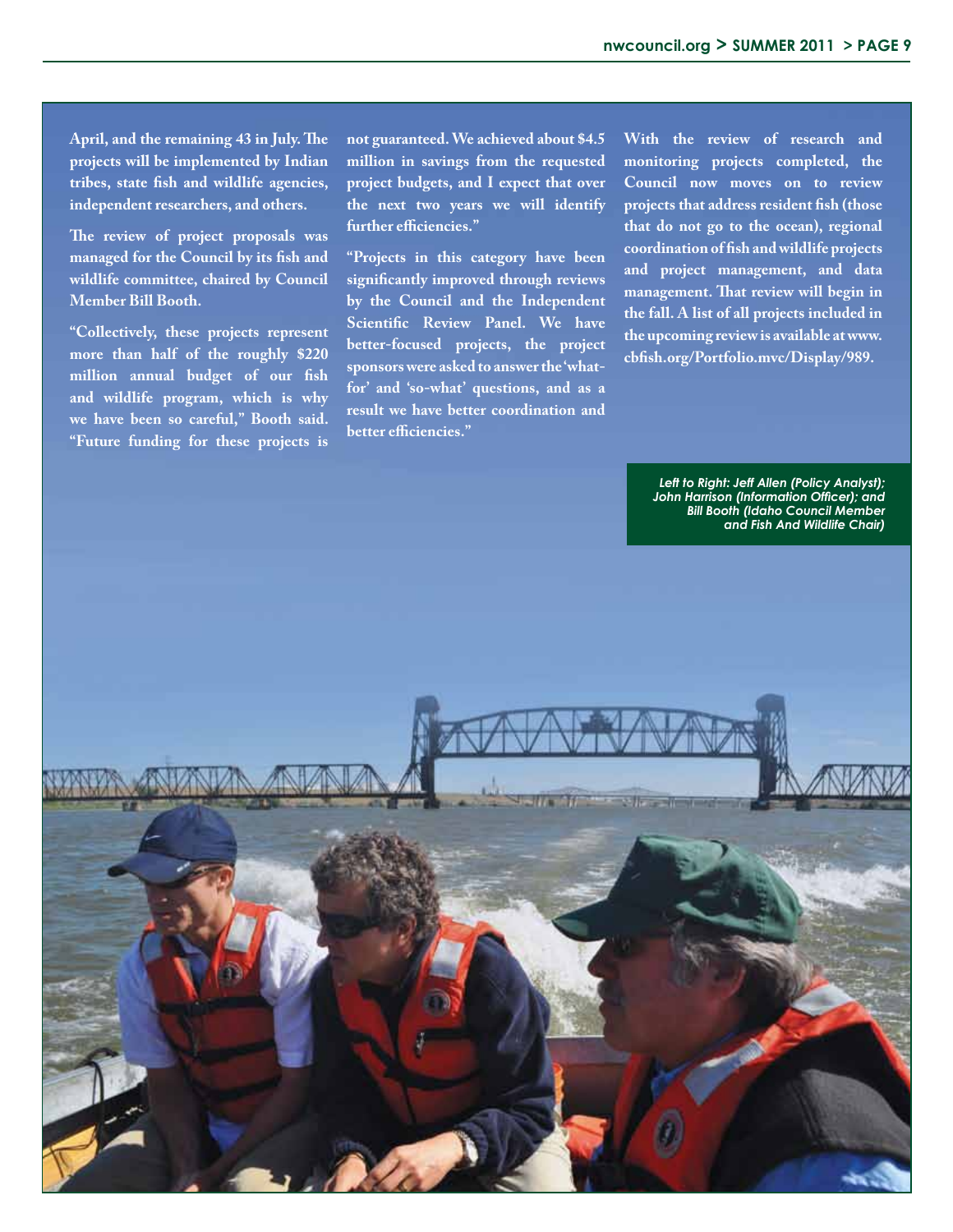**April, and the remaining 43 in July. The projects will be implemented by Indian tribes, state fish and wildlife agencies, independent researchers, and others.**

**The review of project proposals was managed for the Council by its fish and wildlife committee, chaired by Council Member Bill Booth.**

**"Collectively, these projects represent more than half of the roughly \$220 million annual budget of our fish and wildlife program, which is why we have been so careful," Booth said. "Future funding for these projects is**  **not guaranteed. We achieved about \$4.5 million in savings from the requested project budgets, and I expect that over the next two years we will identify further efficiencies."**

**"Projects in this category have been significantly improved through reviews by the Council and the Independent Scientific Review Panel. We have better-focused projects, the project sponsors were asked to answer the 'whatfor' and 'so-what' questions, and as a result we have better coordination and better efficiencies."**

**With the review of research and monitoring projects completed, the Council now moves on to review projects that address resident fish (those that do not go to the ocean), regional coordination of fish and wildlife projects and project management, and data management. That review will begin in the fall. A list of all projects included in the upcoming review is available at www. cbfish.org/Portfolio.mvc/Display/989.**

> *Left to Right: Jeff Allen (Policy Analyst); John Harrison (Information Officer); and Bill Booth (Idaho Council Member and Fish And Wildlife Chair)*

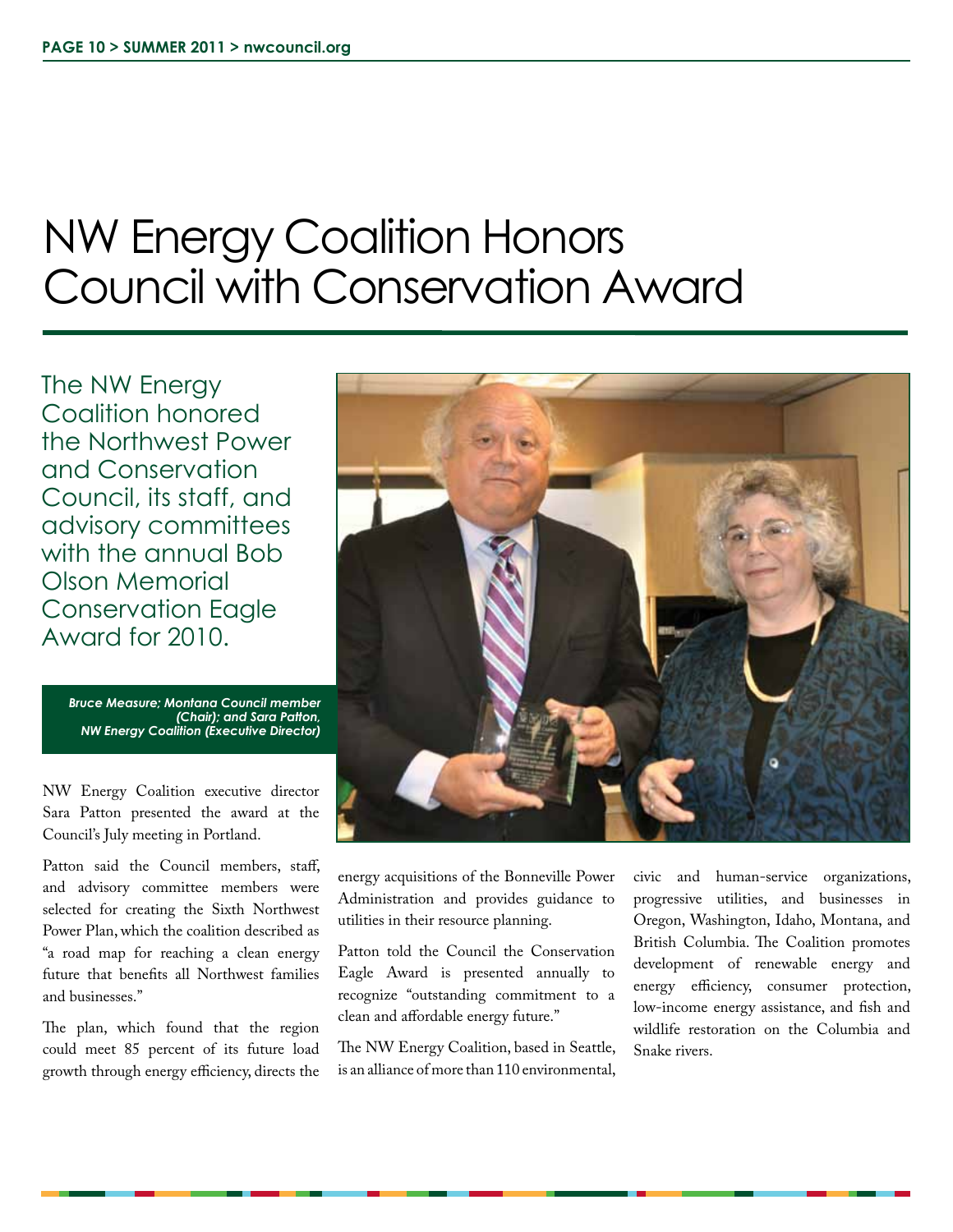# NW Energy Coalition Honors Council with Conservation Award

The NW Energy Coalition honored the Northwest Power and Conservation Council, its staff, and advisory committees with the annual Bob Olson Memorial Conservation Eagle Award for 2010.

> *Bruce Measure; Montana Council member (Chair); and Sara Patton, NW Energy Coalition (Executive Director)*

NW Energy Coalition executive director Sara Patton presented the award at the Council's July meeting in Portland.

Patton said the Council members, staff, and advisory committee members were selected for creating the Sixth Northwest Power Plan, which the coalition described as "a road map for reaching a clean energy future that benefits all Northwest families and businesses."

The plan, which found that the region could meet 85 percent of its future load growth through energy efficiency, directs the



energy acquisitions of the Bonneville Power Administration and provides guidance to utilities in their resource planning.

Patton told the Council the Conservation Eagle Award is presented annually to recognize "outstanding commitment to a clean and affordable energy future."

The NW Energy Coalition, based in Seattle, is an alliance of more than 110 environmental,

civic and human-service organizations, progressive utilities, and businesses in Oregon, Washington, Idaho, Montana, and British Columbia. The Coalition promotes development of renewable energy and energy efficiency, consumer protection, low-income energy assistance, and fish and wildlife restoration on the Columbia and Snake rivers.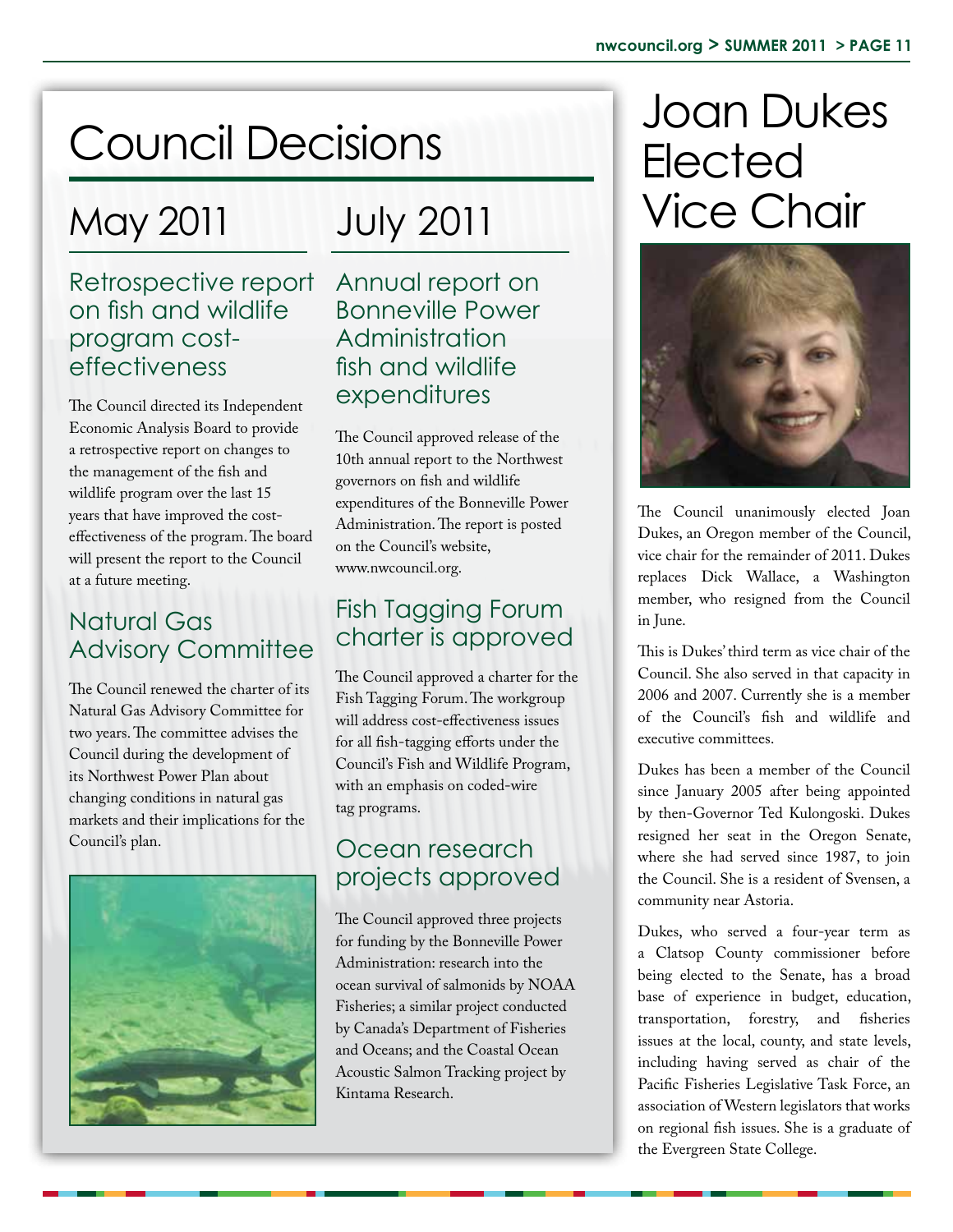## May 2011

### Retrospective report on fish and wildlife program costeffectiveness

The Council directed its Independent Economic Analysis Board to provide a retrospective report on changes to the management of the fish and wildlife program over the last 15 years that have improved the costeffectiveness of the program. The board will present the report to the Council at a future meeting.

### Natural Gas **Advisory Committee**

The Council renewed the charter of its Natural Gas Advisory Committee for two years. The committee advises the Council during the development of its Northwest Power Plan about changing conditions in natural gas markets and their implications for the Council's plan.



# July 2011

Annual report on Bonneville Power Administration fish and wildlife expenditures

The Council approved release of the 10th annual report to the Northwest governors on fish and wildlife expenditures of the Bonneville Power Administration. The report is posted on the Council's website, www.nwcouncil.org.

### Fish Tagging Forum charter is approved

The Council approved a charter for the Fish Tagging Forum. The workgroup will address cost-effectiveness issues for all fish-tagging efforts under the Council's Fish and Wildlife Program, with an emphasis on coded-wire tag programs.

### Ocean research projects approved

The Council approved three projects for funding by the Bonneville Power Administration: research into the ocean survival of salmonids by NOAA Fisheries; a similar project conducted by Canada's Department of Fisheries and Oceans; and the Coastal Ocean Acoustic Salmon Tracking project by Kintama Research.

# Council Decisions Joan Dukes Elected Vice Chair



The Council unanimously elected Joan Dukes, an Oregon member of the Council, vice chair for the remainder of 2011. Dukes replaces Dick Wallace, a Washington member, who resigned from the Council in June.

This is Dukes' third term as vice chair of the Council. She also served in that capacity in 2006 and 2007. Currently she is a member of the Council's fish and wildlife and executive committees.

Dukes has been a member of the Council since January 2005 after being appointed by then-Governor Ted Kulongoski. Dukes resigned her seat in the Oregon Senate, where she had served since 1987, to join the Council. She is a resident of Svensen, a community near Astoria.

Dukes, who served a four-year term as a Clatsop County commissioner before being elected to the Senate, has a broad base of experience in budget, education, transportation, forestry, and fisheries issues at the local, county, and state levels, including having served as chair of the Pacific Fisheries Legislative Task Force, an association of Western legislators that works on regional fish issues. She is a graduate of the Evergreen State College.